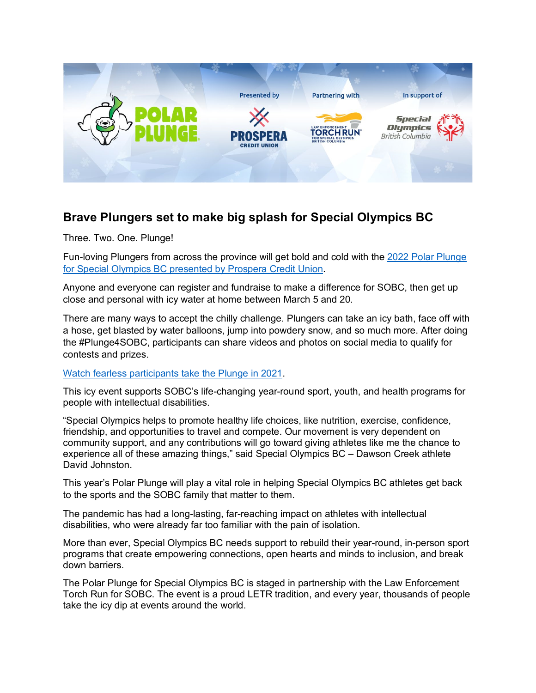

# **Brave Plungers set to make big splash for Special Olympics BC**

Three. Two. One. Plunge!

Fun-loving Plungers from across the province will get bold and cold with the [2022 Polar Plunge](https://www.specialolympics.ca/polar-plunge-special-olympics-bc)  [for Special Olympics BC presented by Prospera Credit Union.](https://www.specialolympics.ca/polar-plunge-special-olympics-bc)

Anyone and everyone can register and fundraise to make a difference for SOBC, then get up close and personal with icy water at home between March 5 and 20.

There are many ways to accept the chilly challenge. Plungers can take an icy bath, face off with a hose, get blasted by water balloons, jump into powdery snow, and so much more. After doing the #Plunge4SOBC, participants can share videos and photos on social media to qualify for contests and prizes.

#### [Watch fearless participants take the Plunge in 2021.](https://youtu.be/s_Im-r6jPk4)

This icy event supports SOBC's life-changing year-round sport, youth, and health programs for people with intellectual disabilities.

"Special Olympics helps to promote healthy life choices, like nutrition, exercise, confidence, friendship, and opportunities to travel and compete. Our movement is very dependent on community support, and any contributions will go toward giving athletes like me the chance to experience all of these amazing things," said Special Olympics BC – Dawson Creek athlete David Johnston.

This year's Polar Plunge will play a vital role in helping Special Olympics BC athletes get back to the sports and the SOBC family that matter to them.

The pandemic has had a long-lasting, far-reaching impact on athletes with intellectual disabilities, who were already far too familiar with the pain of isolation.

More than ever, Special Olympics BC needs support to rebuild their year-round, in-person sport programs that create empowering connections, open hearts and minds to inclusion, and break down barriers.

The Polar Plunge for Special Olympics BC is staged in partnership with the Law Enforcement Torch Run for SOBC. The event is a proud LETR tradition, and every year, thousands of people take the icy dip at events around the world.